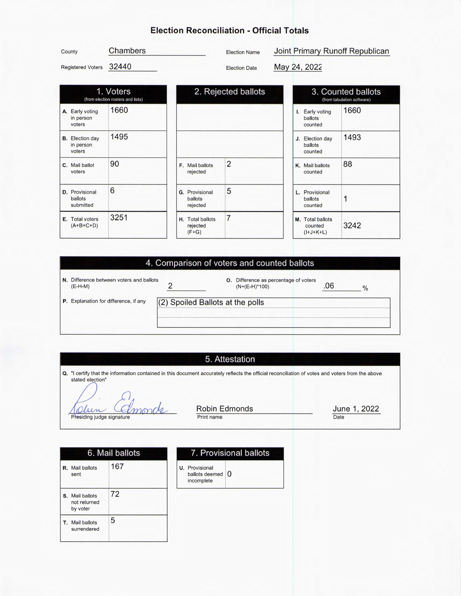# Election Reconciliation - Official Totals

| County                   | Chambers                                       | <b>Election Name</b> | Joint Primary Runoff Republican                  |
|--------------------------|------------------------------------------------|----------------------|--------------------------------------------------|
| <b>Registered Voters</b> | 32440                                          | <b>Election Date</b> | May 24, 2022                                     |
|                          | 1. Voters<br>(from election rosters and lists) | 2. Rejected ballots  | 3. Counted ballots<br>(from tabulation software) |
| $\sim$                   |                                                |                      | ACCO                                             |

| A. Early voting<br>in person<br>voters        | 1660 |                                              |
|-----------------------------------------------|------|----------------------------------------------|
| <b>B.</b> Election day<br>in person<br>voters | 1495 |                                              |
| C. Mail ballot<br>voters                      | 90   | F. Mail ballots<br>rejected                  |
| <b>D.</b> Provisional<br>ballots<br>submitted | 6    | <b>G.</b> Provisional<br>ballots<br>rejected |
| E. Total voters<br>$(A+B+C+D)$                | 3251 | H. Total ballots<br>rejected<br>$(F+G)$      |

|                                              |                |                           | $\sim$ $\sim$<br>(from                     |
|----------------------------------------------|----------------|---------------------------|--------------------------------------------|
|                                              |                |                           | Early voting<br>ballots<br>counted         |
|                                              |                |                           | <b>Election day</b><br>ballots<br>counted  |
| F. Mail ballots<br>rejected                  | $\overline{2}$ |                           | K. Mail ballots<br>counted                 |
| <b>G.</b> Provisional<br>ballots<br>rejected | 5              |                           | L. Provisional<br>ballots<br>counted       |
| H. Total ballots<br>rejected<br>$(F+G)$      | 7              |                           | M. Total ballots<br>counted<br>$(I+J+K+L)$ |
|                                              |                | $-$ . $\sim$ Powod panolo | ı.<br>J.                                   |

| 3. Counted ballots<br>(from tabulation software) |                                            |      |  |  |  |
|--------------------------------------------------|--------------------------------------------|------|--|--|--|
| I.                                               | <b>Early voting</b><br>ballots<br>counted  | 1660 |  |  |  |
|                                                  | J. Election day<br>ballots<br>counted      | 1493 |  |  |  |
|                                                  | K. Mail ballots<br>counted                 | 88   |  |  |  |
|                                                  | Provisional<br>ballots<br>counted          | 1    |  |  |  |
|                                                  | M. Total ballots<br>counted<br>$(I+J+K+L)$ | 3242 |  |  |  |

## 4. Comparison of voters and counted ballots

| N. Difference between voters and ballots<br>$(E-H-M)$ |                                  | O. | Difference as percentage of voters<br>$(N+(E-H)^*100)$ | $\frac{0}{0}$ |
|-------------------------------------------------------|----------------------------------|----|--------------------------------------------------------|---------------|
| P. Explanation for difference, if any                 | (2) Spoiled Ballots at the polls |    |                                                        |               |

### 5. Attestation

Q. "I certify that the information contained in this document accurately reflects the official reconciliation of votes and voters from the above stated election"

C Olun Richard Commonds

Robin Edmonds Print name

June 1, 2022 Date

6. Mail ballots 7. Provisional ballots R. Mail ballots 167 U. Provisional sent ballots deemed O S. Mail ballots 72 not returned by voter T. Mail ballots surrendered 5

incomplete